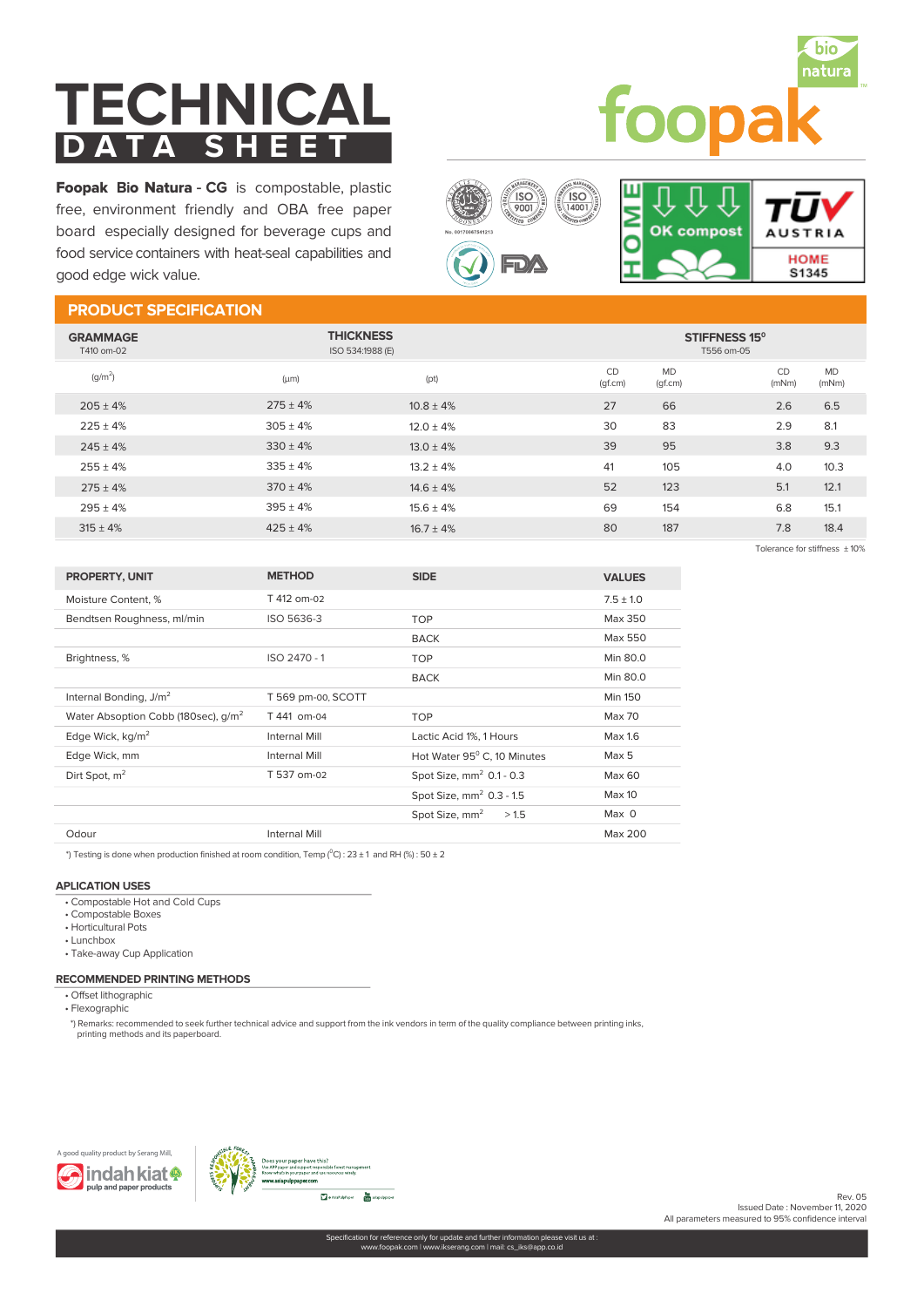# **TECHNICAL**<br>DATA SHEET  $\overline{D}$  **A T A**

natura foopa

Foopak **B**io Natura - **CG** is compostable, plastic free, environment friendly and OBA free paper board especially designed for beverage cups and food service containers with heat-seal capabilities and good edge wick value.



## **PRODUCT SPECIFICATION**

| <b>GRAMMAGE</b><br>T410 om-02 | <b>THICKNESS</b><br>ISO 534:1988 (E) |                |               | STIFFNESS 15°<br>T556 om-05 |             |                    |  |
|-------------------------------|--------------------------------------|----------------|---------------|-----------------------------|-------------|--------------------|--|
| $(q/m^2)$                     | $(\mu m)$                            | (pt)           | CD<br>(gf.cm) | <b>MD</b><br>(gf.cm)        | CD<br>(mNm) | <b>MD</b><br>(mNm) |  |
| $205 + 4%$                    | $275 + 4%$                           | $10.8 \pm 4\%$ | 27            | 66                          | 2.6         | 6.5                |  |
| $225 \pm 4%$                  | $305 + 4%$                           | $12.0 + 4%$    | 30            | 83                          | 2.9         | 8.1                |  |
| $245 + 4%$                    | $330 \pm 4\%$                        | $13.0 + 4%$    | 39            | 95                          | 3.8         | 9.3                |  |
| $255 \pm 4%$                  | $335 + 4%$                           | $13.2 + 4%$    | 41            | 105                         | 4.0         | 10.3               |  |
| $275 \pm 4\%$                 | $370 \pm 4\%$                        | $14.6 \pm 4\%$ | 52            | 123                         | 5.1         | 12.1               |  |
| $295 \pm 4%$                  | $395 + 4%$                           | $15.6 \pm 4\%$ | 69            | 154                         | 6.8         | 15.1               |  |
| $315 \pm 4\%$                 | $425 \pm 4%$                         | $16.7 \pm 4\%$ | 80            | 187                         | 7.8         | 18.4               |  |
|                               |                                      |                |               |                             |             |                    |  |

| <b>PROPERTY, UNIT</b>                           | <b>METHOD</b>        | <b>SIDE</b>                        | <b>VALUES</b>    |
|-------------------------------------------------|----------------------|------------------------------------|------------------|
| Moisture Content. %                             | T 412 om-02          |                                    | $7.5 + 1.0$      |
| Bendtsen Roughness, ml/min                      | ISO 5636-3           | <b>TOP</b>                         | Max 350          |
|                                                 |                      | <b>BACK</b>                        | Max 550          |
| Brightness, %                                   | ISO 2470 - 1         | <b>TOP</b>                         | Min 80.0         |
|                                                 |                      | <b>BACK</b>                        | Min 80.0         |
| Internal Bonding, J/m <sup>2</sup>              | T 569 pm-00, SCOTT   |                                    | <b>Min 150</b>   |
| Water Absoption Cobb (180sec), q/m <sup>2</sup> | T 441 om-04          | <b>TOP</b>                         | Max 70           |
| Edge Wick, kg/m <sup>2</sup>                    | Internal Mill        | Lactic Acid 1%, 1 Hours            | Max 1.6          |
| Edge Wick, mm                                   | <b>Internal Mill</b> | Hot Water 95° C, 10 Minutes        | Max 5            |
| Dirt Spot, $m2$                                 | T 537 om-02          | Spot Size, $mm2$ 0.1 - 0.3         | Max 60           |
|                                                 |                      | Spot Size, $mm2$ 0.3 - 1.5         | Max 10           |
|                                                 |                      | Spot Size, mm <sup>2</sup><br>>1.5 | Max <sub>0</sub> |
| Odour                                           | <b>Internal Mill</b> |                                    | Max 200          |

\*) Testing is done when production finished at room condition, Temp  $(^{0}C)$  : 23  $\pm$  1 and RH (%) : 50  $\pm$  2

#### **APLICATION USES**

- Compostable Hot and Cold Cups
- Compostable Boxes
- Horticultural Pots
- Lunchbox
- Take-away Cup Application

#### **RECOMMENDED PRINTING METHODS**

- Offset lithographic • Flexographic
- 

\*) Remarks: recommended to seek further technical advice and support from the ink vendors in term of the quality compliance between printing inks, printing methods and its paperboard.





Rev. 05 Issued Date : November 11, 2020 All parameters measured to 95% confidence interval

Tolerance for stiffness  $\pm 10\%$ 

bio